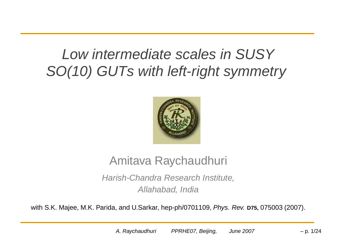### Low intermediate scales in SUSY SO(10) GUTs with left-right symmetry



### Amitava Raychaudhuri

Harish-Chandra Research Institute, Allahabad, India

with S.K. Majee, M.K. Parida, and U.Sarkar, hep-ph/0701109, Phys. Rev. **D75,** 075003 (2007).

A. Raychaudhuri PPRHE07, Beijing, June 2007  $-$  p. 1/24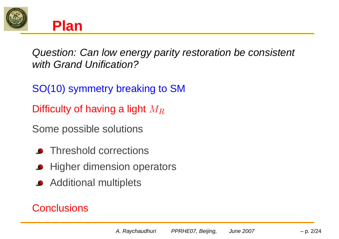



Question: Can low energy parity restoration be consistent with Grand Unification?

SO(10) symmetry breaking to SM

Difficulty of having a light  $M_R$ 

Some possible solutions

- Threshold corrections
- **All Higher dimension operators**
- **Additional multiplets**

### **Conclusions**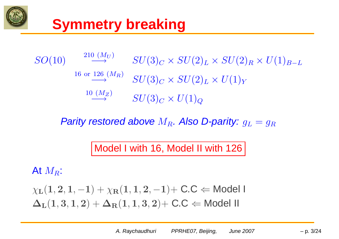

### **Symmetry breaking**



Parity restored above  $M_R$ . Also D-parity:  $q_L = q_R$ 

Model I with 16, Model II with 126

At  $M_R$ :

$$
\chi_{\mathbf{L}}(1,2,1,-1) + \chi_{\mathbf{R}}(1,1,2,-1) + \text{C.C} \Leftarrow \text{Model I} \\ \Delta_{\mathbf{L}}(1,3,1,2) + \Delta_{\mathbf{R}}(1,1,3,2) + \text{C.C} \Leftarrow \text{Model II}
$$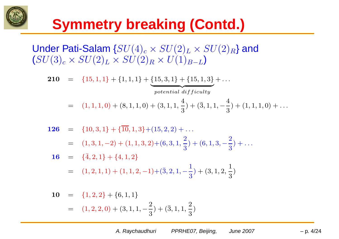

### **Symmetry breaking (Contd.)**

Under Pati-Salam  $\{ SU(4)_c \times SU(2)_L \times SU(2)_R \}$  and  $(SU(3)_c \times SU(2)_L \times SU(2)_R \times U(1)_{B-L})$ 

210 $\begin{array}{lll} \textbf{0} & = & \{15,1,1\} + \{1,1,1\} + \{15,3,1\} + \{15,1,3\} + \ldots \end{array}$  $\overbrace{\hspace{1.5em}}$  $potential \; difficulty$ = $(1, 1, 1, 0) + (8, 1, 1, 0) + (3, 1, 1, \frac{4}{3}) + (\overline{3}, 1, 1, -\frac{4}{3}) + (1, 1, 1, 0) + \ldots$ 

**126** = {10,3,1} + {10,1,3} + (15,2,2) + ...  
\n= (1,3,1,-2) + (1,1,3,2) + (6,3,1,\frac{2}{3}) + (6,1,3,-\frac{2}{3}) + ...  
\n**16** = {
$$
\overline{4}
$$
,2,1} + {4,1,2}

$$
= {4,2,1} + {4,1,2}
$$
  
= (1,2,1,1) + (1,1,2,-1) + (3,2,1,- $\frac{1}{3}$ ) + (3,1,2,  $\frac{1}{3}$ )

10 = {1,2,2} + {6,1,1}  
= (1,2,2,0) + (3,1,1,-
$$
\frac{2}{3}
$$
) + ( $\overline{3}$ ,1,1,  $\frac{2}{3}$ )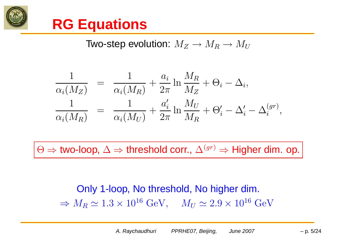

### **RG Equations**

Two-step evolution: 
$$
M_Z \to M_R \to M_U
$$

$$
\frac{1}{\alpha_i(M_Z)} = \frac{1}{\alpha_i(M_R)} + \frac{a_i}{2\pi} \ln \frac{M_R}{M_Z} + \Theta_i - \Delta_i,
$$
  

$$
\frac{1}{\alpha_i(M_R)} = \frac{1}{\alpha_i(M_U)} + \frac{a'_i}{2\pi} \ln \frac{M_U}{M_R} + \Theta'_i - \Delta'_i - \Delta_i^{(gr)},
$$

 $\Theta \Rightarrow$  two-loop,  $\Delta \Rightarrow$  threshold corr.,  $\Delta^{(gr)} \Rightarrow$  Higher dim. op.

Only 1-loop, No threshold, No higher dim.  $\Rightarrow M_R \simeq 1.3 \times 10^{16}~{\rm GeV}, \quad M_U \simeq 2.9 \times 10^{16}~{\rm GeV}.$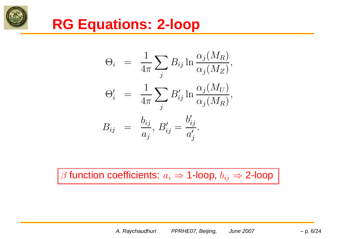

### **RG Equations: 2-loop**

$$
\Theta_i = \frac{1}{4\pi} \sum_j B_{ij} \ln \frac{\alpha_j(M_R)}{\alpha_j(M_Z)},
$$
  

$$
\Theta'_i = \frac{1}{4\pi} \sum_j B'_{ij} \ln \frac{\alpha_j(M_U)}{\alpha_j(M_R)},
$$
  

$$
B_{ij} = \frac{b_{ij}}{a_j}, B'_{ij} = \frac{b'_{ij}}{a'_{j}}.
$$

β function coefficients:  $a_i$  ⇒ 1-loop,  $b_{ij}$  ⇒ 2-loop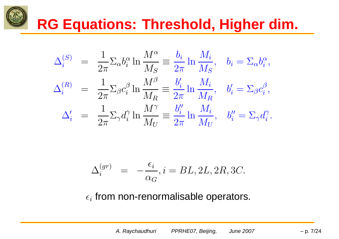## **RG Equations: Threshold, Higher dim.**

$$
\Delta_i^{(S)} = \frac{1}{2\pi} \Sigma_\alpha b_i^\alpha \ln \frac{M^\alpha}{M_S} \equiv \frac{b_i}{2\pi} \ln \frac{M_i}{M_S}, \quad b_i = \Sigma_\alpha b_i^\alpha,
$$
  

$$
\Delta_i^{(R)} = \frac{1}{2\pi} \Sigma_\beta c_i^\beta \ln \frac{M^\beta}{M_R} \equiv \frac{b_i'}{2\pi} \ln \frac{M_i}{M_R}, \quad b_i' = \Sigma_\beta c_i^\beta,
$$
  

$$
\Delta_i' = \frac{1}{2\pi} \Sigma_\gamma d_i^\gamma \ln \frac{M^\gamma}{M_U} \equiv \frac{b_i''}{2\pi} \ln \frac{M_i}{M_U}, \quad b_i'' = \Sigma_\gamma d_i^\gamma.
$$

$$
\Delta_i^{(gr)} = -\frac{\epsilon_i}{\alpha_G}, i = BL, 2L, 2R, 3C.
$$

 $\epsilon_i$  from non-renormalisable operators.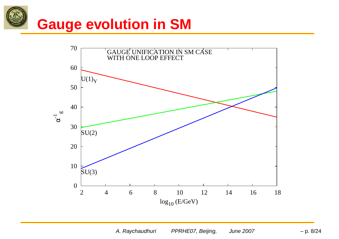# **Gauge evolution in SM**



A. Raychaudhuri PPRHE07, Beijing, June 2007  $-$  p. 8/24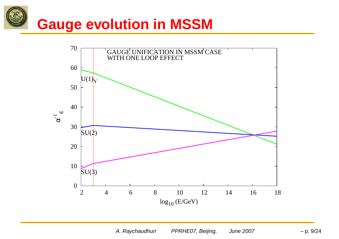# **Gauge evolution in MSSM**



A. Raychaudhuri PPRHE07, Beijing, June 2007  $-$  p. 9/24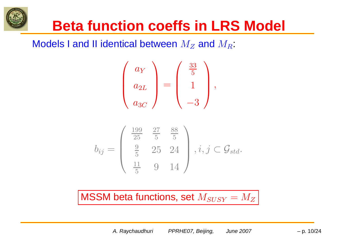### **Beta function coeffs in LRS Model**

Models I and II identical between  $M_Z$  and  $M_R^{\vphantom S}$ 

$$
\begin{pmatrix}\na_Y \\
a_{2L} \\
a_{3C}\n\end{pmatrix} = \begin{pmatrix}\n\frac{33}{5} \\
1 \\
-3\n\end{pmatrix},
$$

$$
b_{ij} = \begin{pmatrix} \frac{199}{25} & \frac{27}{5} & \frac{88}{5} \\ \frac{9}{5} & 25 & 24 \\ \frac{11}{5} & 9 & 14 \end{pmatrix}, i, j \subset \mathcal{G}_{std}.
$$

MSSM beta functions, set  $M_{SUSY}=M_Z$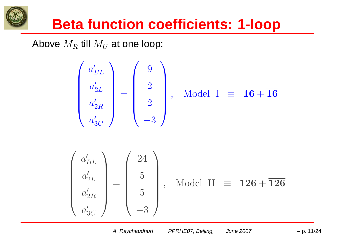

Above  $M_R$  till  $M_U$  at one loop:

$$
\begin{pmatrix}\na'_{BL} \\
a'_{2L} \\
a'_{3C}\n\end{pmatrix} = \begin{pmatrix}\n9 \\
2 \\
2 \\
-3\n\end{pmatrix}, \quad \text{Model I} \equiv 16 + \overline{16}
$$
\n
$$
\begin{pmatrix}\na'_{BL} \\
a'_{2L} \\
a'_{2R} \\
a'_{3C}\n\end{pmatrix} = \begin{pmatrix}\n24 \\
5 \\
5 \\
-3\n\end{pmatrix}, \quad \text{Model II} \equiv 126 + \overline{126}
$$

A. Raychaudhuri

PPRHE07, Beijing, June 2007  $-$  p. 11/24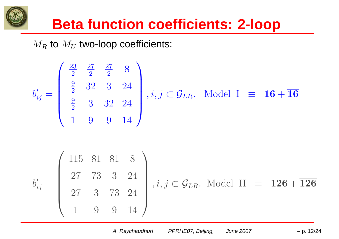

 $M_R$  to  $M_U$  two-loop coefficients:

$$
b'_{ij} = \begin{pmatrix} \frac{23}{2} & \frac{27}{2} & \frac{27}{2} & 8\\ \frac{9}{2} & 32 & 3 & 24\\ \frac{9}{2} & 3 & 32 & 24\\ 1 & 9 & 9 & 14 \end{pmatrix}, i, j \in \mathcal{G}_{LR}. \text{ Model I } \equiv \mathbf{16} + \overline{\mathbf{16}}
$$

$$
b'_{ij} = \begin{pmatrix} 115 & 81 & 81 & 8 \\ 27 & 73 & 3 & 24 \\ 27 & 3 & 73 & 24 \\ 1 & 9 & 9 & 14 \end{pmatrix}, i, j \in \mathcal{G}_{LR}.
$$
 Model II  $\equiv 126 + \overline{126}$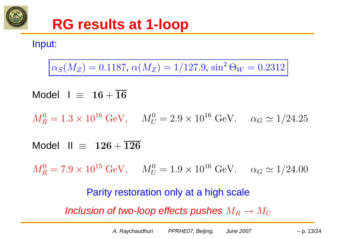

Input:

 $\alpha_S(M_Z) = 0.1187$ ,  $\alpha(M_Z) = 1/127.9$ ,  $\sin^2 \Theta_W = 0.2312$ 

Model I  $\equiv$   $16+16$ 

 $M_R^0 = 1.3 \times 10^{16} \text{ GeV}, \ \ \ \ \ M_U^0 = 2.9 \times 10^{16} \text{ GeV}. \ \ \ \ \ \alpha_G \simeq 1/24.25$ 

Model II  $\equiv$   $~126+126$ 

 $M_R^0 = 7.9 \times 10^{15} \ {\rm GeV}, \ \ \ \ \ M_U^0 = 1.9 \times 10^{16} \ {\rm GeV}. \ \ \ \ \ \alpha_G \simeq 1/24.00$ 

Parity restoration only at <sup>a</sup> high scale Inclusion of two-loop effects pushes  $M_R\to M_U$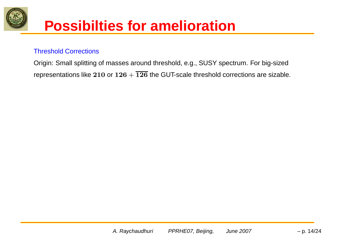

### **Possibilties for amelioration**

### Threshold Corrections

Origin: Small splitting of masses around threshold, e.g., SUSY spectrum. For big-sized representations like 210 or  $126 + \overline{126}$  the GUT-scale threshold corrections are sizable.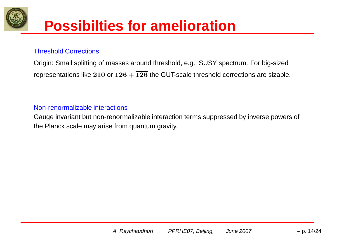

### **Possibilties for amelioration**

### Threshold Corrections

Origin: Small splitting of masses around threshold, e.g., SUSY spectrum. For big-sized representations like 210 or  $126 + \overline{126}$  the GUT-scale threshold corrections are sizable.

### Non-renormalizable interactions

Gauge invariant but non-renormalizable interaction terms suppressed by inverse powers of the Planck scale may arise from quantum gravity.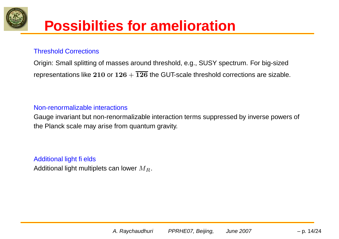

### **Possibilties for amelioration**

### Threshold Corrections

Origin: Small splitting of masses around threshold, e.g., SUSY spectrum. For big-sized representations like 210 or  $126 + \overline{126}$  the GUT-scale threshold corrections are sizable.

#### Non-renormalizable interactions

Gauge invariant but non-renormalizable interaction terms suppressed by inverse powers of the Planck scale may arise from quantum gravity.

#### Additional light fi elds

Additional light multiplets can lower  $M_R$ .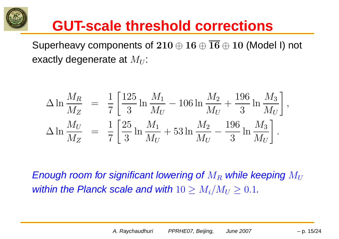

Superheavy components of  $210 \oplus 16 \oplus \overline{16} \oplus 10$  (Model I) not exactly degenerate at  $M_U$ :

$$
\Delta \ln \frac{M_R}{M_Z} = \frac{1}{7} \left[ \frac{125}{3} \ln \frac{M_1}{M_U} - 106 \ln \frac{M_2}{M_U} + \frac{196}{3} \ln \frac{M_3}{M_U} \right],
$$
  
\n
$$
\Delta \ln \frac{M_U}{M_Z} = \frac{1}{7} \left[ \frac{25}{3} \ln \frac{M_1}{M_U} + 53 \ln \frac{M_2}{M_U} - \frac{196}{3} \ln \frac{M_3}{M_U} \right].
$$

Enough room for significant lowering of  $M_R$  while keeping  $M_U$ within the Planck scale and with  $10 \geq M_i/M_U \geq 0.1.$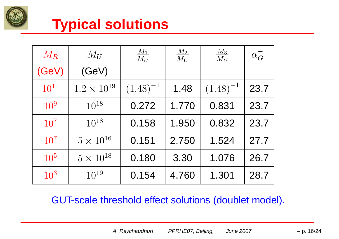

### **Typical solutions**

| $M_{R}$         | $M_U$                | $\frac{M_1}{M_U}$ | $\frac{M_2}{M_U}$ | $\frac{M_3}{M_U}$ | $\alpha_G^{-1}$ |
|-----------------|----------------------|-------------------|-------------------|-------------------|-----------------|
| (GeV)           | (GeV)                |                   |                   |                   |                 |
| $10^{11}$       | $1.2 \times 10^{19}$ | $(1.48)^{-1}$     | 1.48              | $(1.48)^{-1}$     | 23.7            |
| $10^{9}$        | $10^{18}$            | 0.272             | 1.770             | 0.831             | 23.7            |
| 10 <sup>7</sup> | $10^{18}$            | 0.158             | 1.950             | 0.832             | 23.7            |
| 10 <sup>7</sup> | $5 \times 10^{16}$   | 0.151             | 2.750             | 1.524             | 27.7            |
| 10 <sup>5</sup> | $5 \times 10^{18}$   | 0.180             | 3.30              | 1.076             | 26.7            |
| 10 <sup>3</sup> | $10^{19}$            | 0.154             | 4.760             | 1.301             | 28.7            |

GUT-scale threshold effect solutions (doublet model).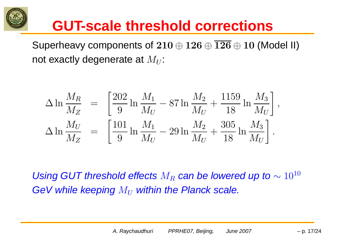

Superheavy components of  $210 \oplus 126 \oplus \overline{126} \oplus 10$  (Model II) not exactly degenerate at  $M_U$ :

$$
\Delta \ln \frac{M_R}{M_Z} = \left[ \frac{202}{9} \ln \frac{M_1}{M_U} - 87 \ln \frac{M_2}{M_U} + \frac{1159}{18} \ln \frac{M_3}{M_U} \right],
$$
  
\n
$$
\Delta \ln \frac{M_U}{M_Z} = \left[ \frac{101}{9} \ln \frac{M_1}{M_U} - 29 \ln \frac{M_2}{M_U} + \frac{305}{18} \ln \frac{M_3}{M_U} \right].
$$

Using GUT threshold effects  $M_R$  can be lowered up to  $\sim 10^{10}$ GeV while keeping  $M_U$  within the Planck scale.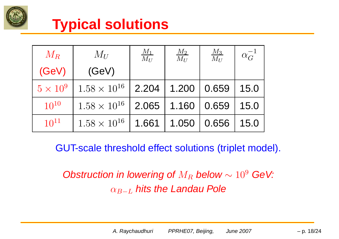

### **Typical solutions**

| $M_R$           | $M_U$                 | $\frac{M_1}{M_U}$ | $\frac{M_2}{M_U}$ | $\frac{M_3}{M_U}$ | $\alpha_G^{-1}$ |
|-----------------|-----------------------|-------------------|-------------------|-------------------|-----------------|
| (GeV)           | (GeV)                 |                   |                   |                   |                 |
| $5 \times 10^9$ | $1.58 \times 10^{16}$ | 2.204             | 1.200             | 0.659             | 15.0            |
| $10^{10}$       | $1.58 \times 10^{16}$ | 2.065             | 1.160             | 0.659             | 15.0            |
| $10^{11}$       | $1.58 \times 10^{16}$ | 1.661             | 1.050             | 0.656             | 15.0            |

GUT-scale threshold effect solutions (triplet model).

Obstruction in lowering of  $M_R$  below  $\sim 10^9$  GeV:  $\alpha_{B-L}$  hits the Landau Pole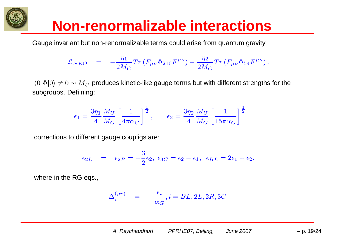

### **Non-renormalizable interactions**

Gauge in variant but non-renormalizable terms could arise from quantum gravity

$$
\mathcal{L}_{NRO} \quad = \quad - \frac{\eta_1}{2 M_G} Tr \left( F_{\mu\nu} \Phi_{210} F^{\mu\nu} \right) - \frac{\eta_2}{2 M_G} Tr \left( F_{\mu\nu} \Phi_{54} F^{\mu\nu} \right).
$$

 $\langle 0|\Phi |0\rangle \neq 0\sim M_U$  produces kinetic-like gauge terms but with different strengths for the subgroups. Defi ning:

$$
\epsilon_1 = \frac{3\eta_1}{4} \frac{M_U}{M_G} \left[\frac{1}{4\pi\alpha_G}\right]^{\frac{1}{2}}, \qquad \epsilon_2 = \frac{3\eta_2}{4} \frac{M_U}{M_G} \left[\frac{1}{15\pi\alpha_G}\right]^{\frac{1}{2}}
$$

corrections to different gauge coupligs are:

$$
\epsilon_{2L} = \epsilon_{2R} = -\frac{3}{2}\epsilon_2, \ \epsilon_{3C} = \epsilon_2 - \epsilon_1, \ \ \epsilon_{BL} = 2\epsilon_1 + \epsilon_2,
$$

where in the RG eqs.,

$$
\Delta_i^{(gr)} = -\frac{\epsilon_i}{\alpha_G}, i = BL, 2L, 2R, 3C.
$$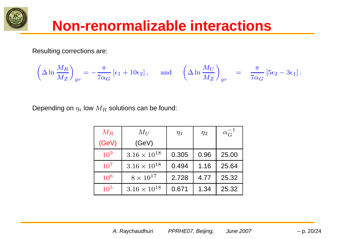

### **Non-renormalizable interactions**

Resulting corrections are:

$$
\left(\Delta\ln\frac{M_R}{M_Z}\right)_{gr}=-\frac{\pi}{7\alpha_G}\left[\epsilon_1+10\epsilon_2\right],\quad \text{ and }\quad\left(\Delta\ln\frac{M_U}{M_Z}\right)_{gr}=\frac{\pi}{7\alpha_G}\left[5\epsilon_2-3\epsilon_1\right].
$$

Depending on  $\eta_i$  low  $M_R$  solutions can be found:

| $M_{R}$  | $M_{II}$              | $\eta_1$ | $\eta_2$ | $\alpha_G^{-1}$ |
|----------|-----------------------|----------|----------|-----------------|
| (GeV)    | (GeV)                 |          |          |                 |
| $10^{9}$ | $3.16 \times 10^{18}$ | 0.305    | 0.96     | 25.00           |
| $10^{7}$ | $3.16 \times 10^{18}$ | 0.494    | 1.16     | 25.64           |
| $10^{6}$ | $8\times10^{17}$      | 2.728    | 4.77     | 25.32           |
| $10^{5}$ | $3.16 \times 10^{18}$ | 0.671    | 1.34     | 25.32           |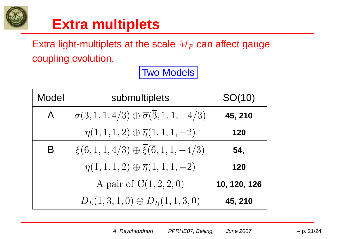

### **Extra multiplets**

Extra light-multiplets at the scale  $M_R$  can affect gauge coupling evolution.

Two Models

| Model        | submultiplets                                                  | SO(10)       |
|--------------|----------------------------------------------------------------|--------------|
| $\mathsf{A}$ | $\sigma(3, 1, 1, 4/3) \oplus \overline{\sigma(3, 1, 1, -4/3)}$ | 45, 210      |
|              | $\eta(1,1,1,2) \oplus \overline{\eta}(1,1,1,-2)$               | 120          |
| B            | $\xi(6,1,1,4/3) \oplus \overline{\xi}(\overline{6},1,1,-4/3)$  | 54,          |
|              | $\eta(1,1,1,2) \oplus \overline{\eta}(1,1,1,-2)$               | 120          |
|              | A pair of $C(1, 2, 2, 0)$                                      | 10, 120, 126 |
|              | $D_L(1,3,1,0) \oplus D_R(1,1,3,0)$                             | 45, 210      |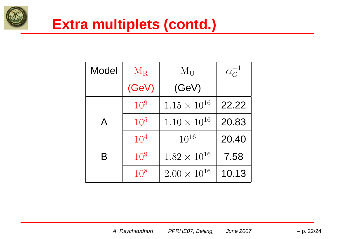

### **Extra multiplets (contd.)**

| <b>Model</b> | $\rm\,M_{R}$    | $M_{U}$               | $\alpha_G^{-1}$ |
|--------------|-----------------|-----------------------|-----------------|
|              | (GeV)           | (GeV)                 |                 |
|              | 10 <sup>9</sup> | $1.15 \times 10^{16}$ | 22.22           |
| $\mathsf{A}$ | $10^{5}$        | $1.10 \times 10^{16}$ | 20.83           |
|              | 10 <sup>4</sup> | $10^{16}$             | 20.40           |
| B            | $10^{9}$        | $1.82 \times 10^{16}$ | 7.58            |
|              | $10^{8}$        | $2.00 \times 10^{16}$ | 10.13           |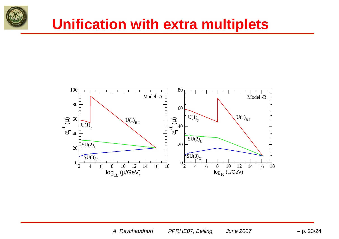

### **Unification with extra multiplets**